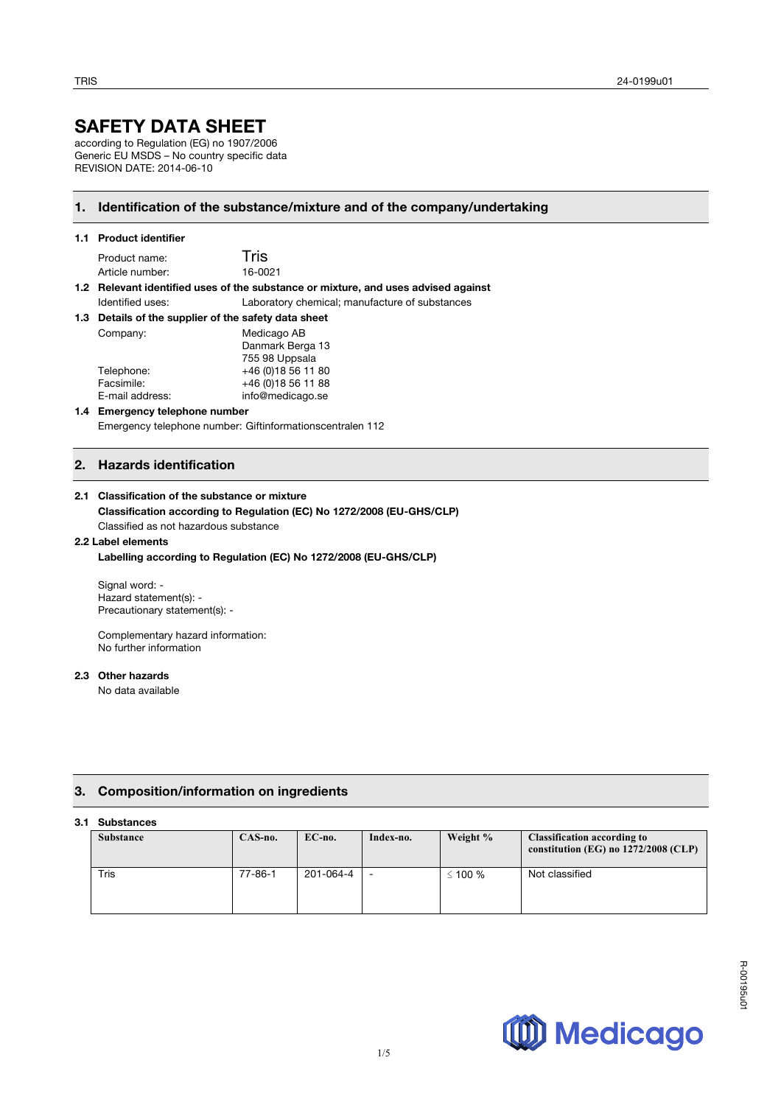# **SAFETY DATA SHEET**

according to Regulation (EG) no 1907/2006 Generic EU MSDS – No country specific data REVISION DATE: 2014-06-10

# **1. Identification of the substance/mixture and of the company/undertaking**

# **1.1 Product identifier**

| Product name:   | Tris    |
|-----------------|---------|
| Article number: | 16-0021 |

### **1.2 Relevant identified uses of the substance or mixture, and uses advised against**  Identified uses: Laboratory chemical; manufacture of substances

| 1.3 Details of the supplier of the safety data sheet |                     |  |
|------------------------------------------------------|---------------------|--|
| Company:                                             | Medicago AB         |  |
|                                                      | Danmark Berga 13    |  |
|                                                      | 755 98 Uppsala      |  |
| Telephone:                                           | +46 (0) 18 56 11 80 |  |
| Facsimile:                                           | +46 (0) 18 56 11 88 |  |
| E-mail address:                                      | info@medicago.se    |  |

# **1.4 Emergency telephone number**

Emergency telephone number: Giftinformationscentralen 112

# **2. Hazards identification**

# **2.1 Classification of the substance or mixture**

### **Classification according to Regulation (EC) No 1272/2008 (EU-GHS/CLP)** Classified as not hazardous substance

**2.2 Label elements** 

# **Labelling according to Regulation (EC) No 1272/2008 (EU-GHS/CLP)**

Signal word: - Hazard statement(s): - Precautionary statement(s): -

Complementary hazard information: No further information

# **2.3 Other hazards**

No data available

# **3. Composition/information on ingredients**

# **3.1 Substances**

| ------------     |               |           |           |              |                                                                              |
|------------------|---------------|-----------|-----------|--------------|------------------------------------------------------------------------------|
| <b>Substance</b> | $CAS$ -no.    | EC-no.    | Index-no. | Weight %     | <b>Classification according to</b><br>constitution (EG) no $1272/2008$ (CLP) |
| Tris             | $77 - 86 - 1$ | 201-064-4 | -         | $\leq$ 100 % | Not classified                                                               |

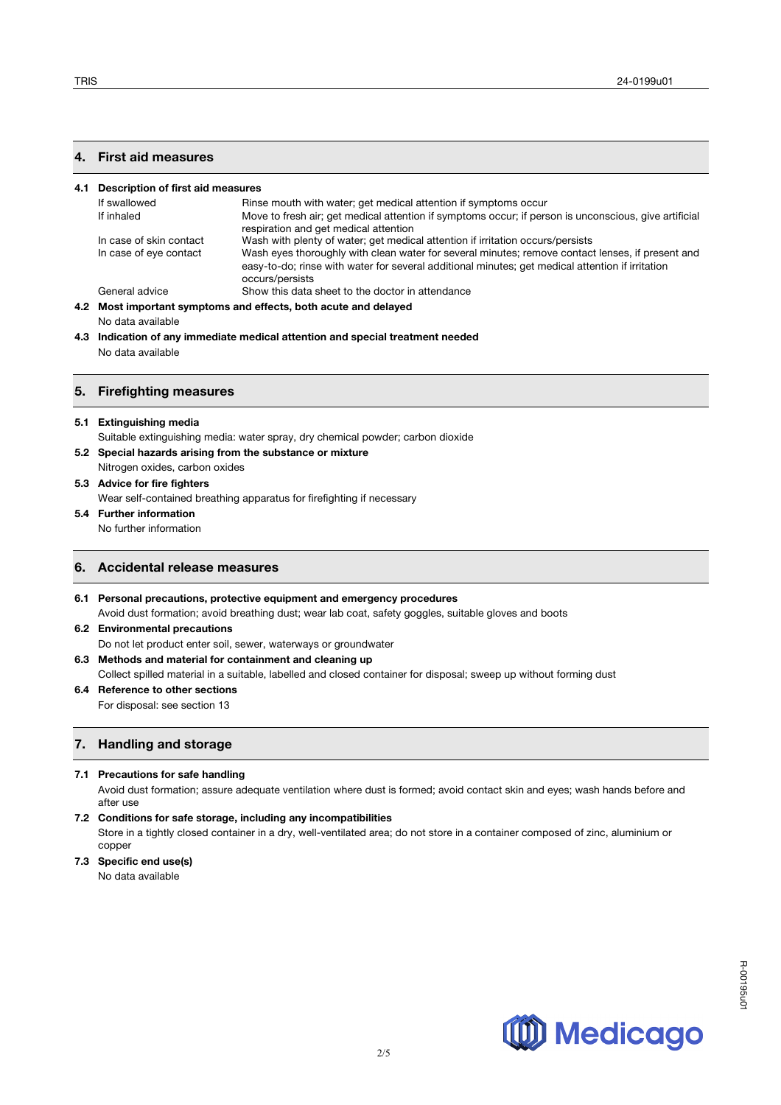# **4. First aid measures**

| 4.1 | Description of first aid measures                               |                                                                                                                                                                                                                         |  |  |  |  |
|-----|-----------------------------------------------------------------|-------------------------------------------------------------------------------------------------------------------------------------------------------------------------------------------------------------------------|--|--|--|--|
|     | If swallowed                                                    | Rinse mouth with water; get medical attention if symptoms occur                                                                                                                                                         |  |  |  |  |
|     | If inhaled                                                      | Move to fresh air; get medical attention if symptoms occur; if person is unconscious, give artificial<br>respiration and get medical attention                                                                          |  |  |  |  |
|     | In case of skin contact                                         | Wash with plenty of water; get medical attention if irritation occurs/persists                                                                                                                                          |  |  |  |  |
|     | In case of eye contact                                          | Wash eyes thoroughly with clean water for several minutes; remove contact lenses, if present and<br>easy-to-do; rinse with water for several additional minutes; get medical attention if irritation<br>occurs/persists |  |  |  |  |
|     | General advice                                                  | Show this data sheet to the doctor in attendance                                                                                                                                                                        |  |  |  |  |
|     | 4.2 Most important symptoms and effects, both acute and delayed |                                                                                                                                                                                                                         |  |  |  |  |
|     | No data available                                               |                                                                                                                                                                                                                         |  |  |  |  |
|     |                                                                 | المواموم والموجودا والمتواطئ والمواطئ والمستلام الموالوميس والماموسيين بروره المروا والموالوس المار                                                                                                                     |  |  |  |  |

**4.3 Indication of any immediate medical attention and special treatment needed** No data available

## **5. Firefighting measures**

### **5.1 Extinguishing media**

Suitable extinguishing media: water spray, dry chemical powder; carbon dioxide

- **5.2 Special hazards arising from the substance or mixture**  Nitrogen oxides, carbon oxides
- **5.3 Advice for fire fighters**

Wear self-contained breathing apparatus for firefighting if necessary

**5.4 Further information**

No further information

# **6. Accidental release measures**

**6.1 Personal precautions, protective equipment and emergency procedures** Avoid dust formation; avoid breathing dust; wear lab coat, safety goggles, suitable gloves and boots

- **6.2 Environmental precautions**
- Do not let product enter soil, sewer, waterways or groundwater

# **6.3 Methods and material for containment and cleaning up**

Collect spilled material in a suitable, labelled and closed container for disposal; sweep up without forming dust

- **6.4 Reference to other sections** 
	- For disposal: see section 13

# **7. Handling and storage**

### **7.1 Precautions for safe handling**

Avoid dust formation; assure adequate ventilation where dust is formed; avoid contact skin and eyes; wash hands before and after use

**7.2 Conditions for safe storage, including any incompatibilities** 

Store in a tightly closed container in a dry, well-ventilated area; do not store in a container composed of zinc, aluminium or copper

**7.3 Specific end use(s)** 

No data available

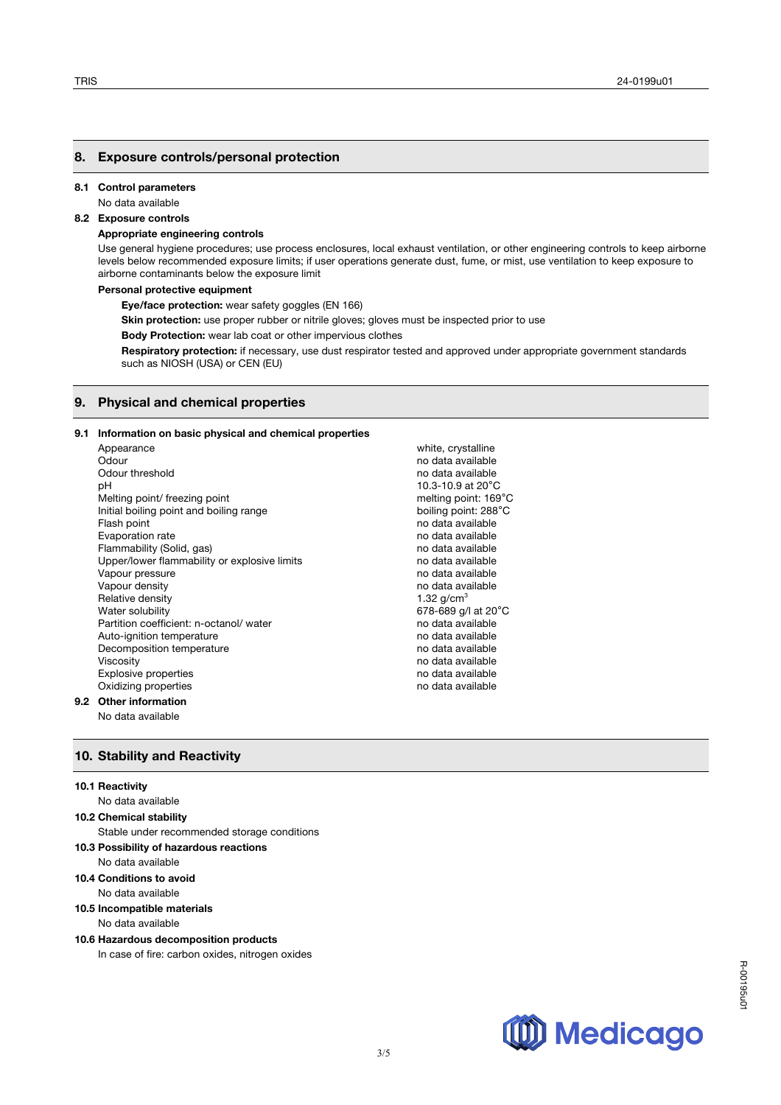# **8. Exposure controls/personal protection**

#### **8.1 Control parameters**

No data available

# **8.2 Exposure controls**

# **Appropriate engineering controls**

Use general hygiene procedures; use process enclosures, local exhaust ventilation, or other engineering controls to keep airborne levels below recommended exposure limits; if user operations generate dust, fume, or mist, use ventilation to keep exposure to airborne contaminants below the exposure limit

#### **Personal protective equipment**

**Eye/face protection:** wear safety goggles (EN 166)

**Skin protection:** use proper rubber or nitrile gloves; gloves must be inspected prior to use

**Body Protection:** wear lab coat or other impervious clothes

**Respiratory protection:** if necessary, use dust respirator tested and approved under appropriate government standards such as NIOSH (USA) or CEN (EU)

### **9. Physical and chemical properties**

### **9.1 Information on basic physical and chemical properties**

Appearance white, crystalline Odour **no data available** by the contract of the contract of the contract of the contract of the contract of the contract of the contract of the contract of the contract of the contract of the contract of the contract of t Odour threshold no data available no data available no data available no data available pH<br>Melting point/ freezing point<br>Melting point/ freezing point<br>
Melting point: 169°C Melting point/ freezing point Initial boiling point and boiling range boiling point: 288°C Flash point **Flash point** no data available Evaporation rate no data available Flammability (Solid, gas) no data available Upper/lower flammability or explosive limits no data available Vapour pressure no data available no data available Vapour density no data available no data available Relative density **1.32 g/cm<sup>3</sup>** and the number of the state of the state of the state of the state of the state of the state of the state of the state of the state of the state of the state of the state of the state of the Water solubility<br>
Partition coefficient: n-octanol/ water<br>
Partition coefficient: n-octanol/ water<br>
Mater and the community of the data available Partition coefficient: n-octanol/ water Auto-ignition temperature no data available Decomposition temperature no data available no data available Viscosity no data available Explosive properties no data available<br>
Distribution of the contract of the contract of the contract of the contract of the contract of the contract o<br>
Distribution of the contract of the contract of the contract of the co Oxidizing properties

### **9.2 Other information**

No data available

# **10. Stability and Reactivity**

#### **10.1 Reactivity**

#### No data available

**10.2 Chemical stability** 

Stable under recommended storage conditions

- **10.3 Possibility of hazardous reactions**  No data available
- **10.4 Conditions to avoid**
- No data available
- **10.5 Incompatible materials**

No data available

**10.6 Hazardous decomposition products**  In case of fire: carbon oxides, nitrogen oxides



R-00195u01

R-00195u0

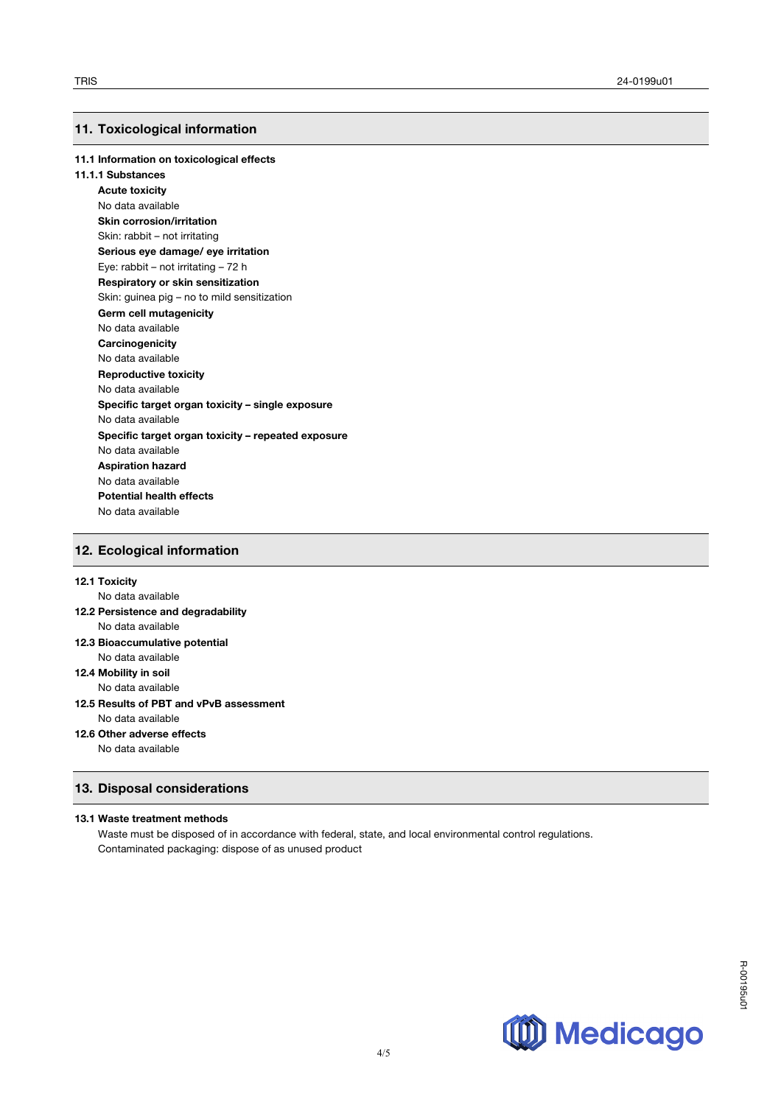# **11. Toxicological information**

### **11.1 Information on toxicological effects**

### **11.1.1 Substances**

**Acute toxicity** No data available **Skin corrosion/irritation** Skin: rabbit – not irritating **Serious eye damage/ eye irritation** Eye: rabbit – not irritating – 72 h **Respiratory or skin sensitization** Skin: guinea pig – no to mild sensitization **Germ cell mutagenicity** No data available **Carcinogenicity** No data available **Reproductive toxicity** No data available **Specific target organ toxicity – single exposure** No data available **Specific target organ toxicity – repeated exposure** No data available **Aspiration hazard** No data available **Potential health effects**  No data available

# **12. Ecological information**

# **12.1 Toxicity**

No data available

### **12.2 Persistence and degradability** No data available

- **12.3 Bioaccumulative potential** No data available
- **12.4 Mobility in soil**

No data available

### **12.5 Results of PBT and vPvB assessment** No data available

- **12.6 Other adverse effects**
	- No data available

# **13. Disposal considerations**

### **13.1 Waste treatment methods**

Waste must be disposed of in accordance with federal, state, and local environmental control regulations. Contaminated packaging: dispose of as unused product